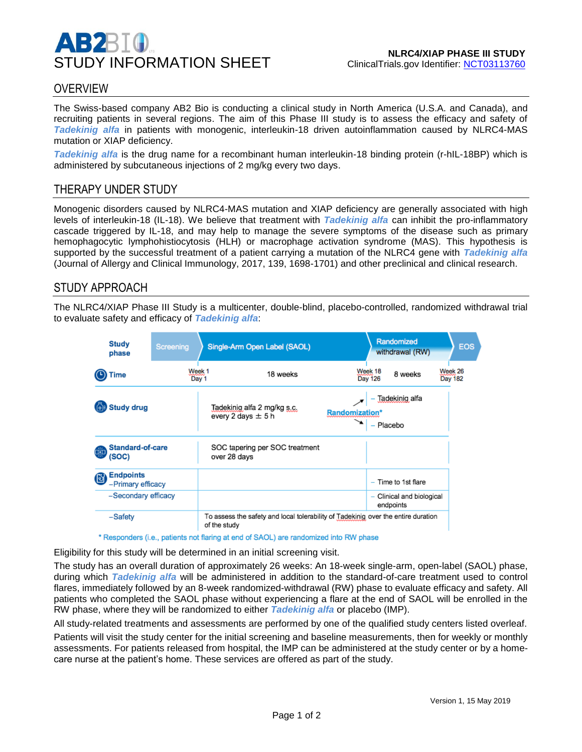

# **OVERVIEW**

The Swiss-based company AB2 Bio is conducting a clinical study in North America (U.S.A. and Canada), and recruiting patients in several regions. The aim of this Phase III study is to assess the efficacy and safety of *Tadekinig alfa* in patients with monogenic, interleukin-18 driven autoinflammation caused by NLRC4-MAS mutation or XIAP deficiency.

*Tadekinig alfa* is the drug name for a recombinant human interleukin-18 binding protein (r-hIL-18BP) which is administered by subcutaneous injections of 2 mg/kg every two days.

## THERAPY UNDER STUDY

Monogenic disorders caused by NLRC4-MAS mutation and XIAP deficiency are generally associated with high levels of interleukin-18 (IL-18). We believe that treatment with *Tadekinig alfa* can inhibit the pro-inflammatory cascade triggered by IL-18, and may help to manage the severe symptoms of the disease such as primary hemophagocytic lymphohistiocytosis (HLH) or macrophage activation syndrome (MAS). This hypothesis is supported by the successful treatment of a patient carrying a mutation of the NLRC4 gene with *Tadekinig alfa* (Journal of Allergy and Clinical Immunology, 2017, 139, 1698-1701) and other preclinical and clinical research.

## STUDY APPROACH

The NLRC4/XIAP Phase III Study is a multicenter, double-blind, placebo-controlled, randomized withdrawal trial to evaluate safety and efficacy of *Tadekinig alfa*:

| Study<br>phase                              | Screening       | Single-Arm Open Label (SAOL)                                                                      |                                                    | Randomized                | withdrawal (RW)           | EOS                       |
|---------------------------------------------|-----------------|---------------------------------------------------------------------------------------------------|----------------------------------------------------|---------------------------|---------------------------|---------------------------|
| <b>Time</b>                                 | Week 1<br>Day 1 | 18 weeks                                                                                          |                                                    | Week 18<br><b>Day 126</b> | 8 weeks                   | Week 26<br><b>Day 182</b> |
| <b>Study drug</b>                           |                 | Tadekinig alfa 2 mg/kg s.c.<br>every 2 days $\pm$ 5 h                                             | Tadekinig alfa<br><b>Randomization*</b><br>Placebo |                           |                           |                           |
| <b>Standard-of-care</b><br>ाग<br>(SOC)      |                 | SOC tapering per SOC treatment<br>over 28 days                                                    |                                                    |                           |                           |                           |
| <b>Endpoints</b><br>C)<br>-Primary efficacy |                 |                                                                                                   |                                                    |                           | - Time to 1st flare       |                           |
| -Secondary efficacy                         |                 |                                                                                                   |                                                    | endpoints                 | - Clinical and biological |                           |
| -Safety                                     |                 | To assess the safety and local tolerability of Tadekinig over the entire duration<br>of the study |                                                    |                           |                           |                           |

\* Responders (i.e., patients not flaring at end of SAOL) are randomized into RW phase

Eligibility for this study will be determined in an initial screening visit.

The study has an overall duration of approximately 26 weeks: An 18-week single-arm, open-label (SAOL) phase, during which *Tadekinig alfa* will be administered in addition to the standard-of-care treatment used to control flares, immediately followed by an 8-week randomized-withdrawal (RW) phase to evaluate efficacy and safety. All patients who completed the SAOL phase without experiencing a flare at the end of SAOL will be enrolled in the RW phase, where they will be randomized to either *Tadekinig alfa* or placebo (IMP).

All study-related treatments and assessments are performed by one of the qualified study centers listed overleaf.

Patients will visit the study center for the initial screening and baseline measurements, then for weekly or monthly assessments. For patients released from hospital, the IMP can be administered at the study center or by a homecare nurse at the patient's home. These services are offered as part of the study.